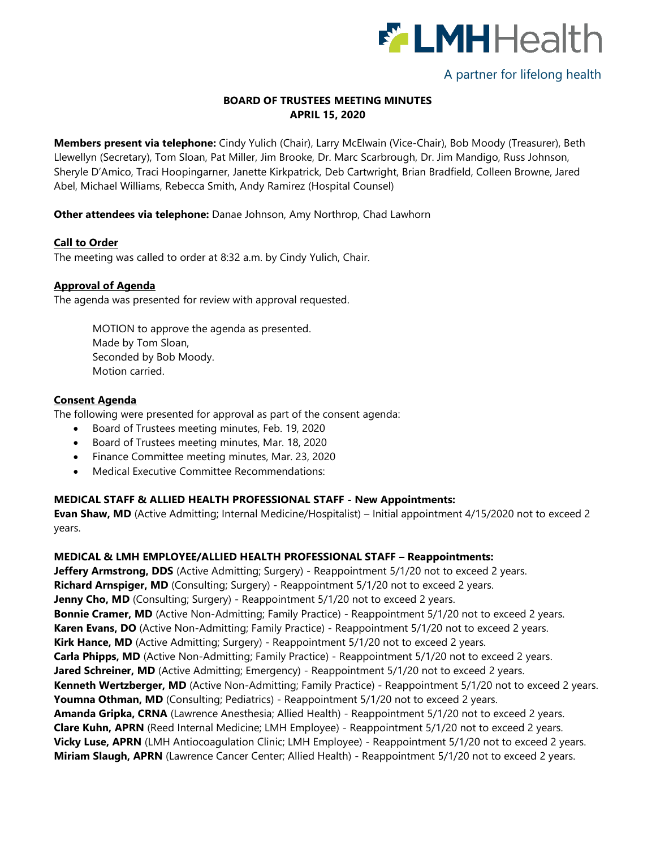

# A partner for lifelong health

## **BOARD OF TRUSTEES MEETING MINUTES APRIL 15, 2020**

**Members present via telephone:** Cindy Yulich (Chair), Larry McElwain (Vice-Chair), Bob Moody (Treasurer), Beth Llewellyn (Secretary), Tom Sloan, Pat Miller, Jim Brooke, Dr. Marc Scarbrough, Dr. Jim Mandigo, Russ Johnson, Sheryle D'Amico, Traci Hoopingarner, Janette Kirkpatrick, Deb Cartwright, Brian Bradfield, Colleen Browne, Jared Abel, Michael Williams, Rebecca Smith, Andy Ramirez (Hospital Counsel)

## **Other attendees via telephone:** Danae Johnson, Amy Northrop, Chad Lawhorn

## **Call to Order**

The meeting was called to order at 8:32 a.m. by Cindy Yulich, Chair.

## **Approval of Agenda**

The agenda was presented for review with approval requested.

MOTION to approve the agenda as presented. Made by Tom Sloan, Seconded by Bob Moody. Motion carried.

#### **Consent Agenda**

The following were presented for approval as part of the consent agenda:

- Board of Trustees meeting minutes, Feb. 19, 2020
- Board of Trustees meeting minutes, Mar. 18, 2020
- Finance Committee meeting minutes, Mar. 23, 2020
- Medical Executive Committee Recommendations:

## **MEDICAL STAFF & ALLIED HEALTH PROFESSIONAL STAFF - New Appointments:**

**Evan Shaw, MD** (Active Admitting; Internal Medicine/Hospitalist) – Initial appointment 4/15/2020 not to exceed 2 years.

## **MEDICAL & LMH EMPLOYEE/ALLIED HEALTH PROFESSIONAL STAFF – Reappointments:**

**Jeffery Armstrong, DDS** (Active Admitting; Surgery) - Reappointment 5/1/20 not to exceed 2 years. **Richard Arnspiger, MD** (Consulting; Surgery) - Reappointment 5/1/20 not to exceed 2 years. **Jenny Cho, MD** (Consulting; Surgery) - Reappointment 5/1/20 not to exceed 2 years. **Bonnie Cramer, MD** (Active Non-Admitting; Family Practice) - Reappointment 5/1/20 not to exceed 2 years. **Karen Evans, DO** (Active Non-Admitting; Family Practice) - Reappointment 5/1/20 not to exceed 2 years. **Kirk Hance, MD** (Active Admitting; Surgery) - Reappointment 5/1/20 not to exceed 2 years. **Carla Phipps, MD** (Active Non-Admitting; Family Practice) - Reappointment 5/1/20 not to exceed 2 years. **Jared Schreiner, MD** (Active Admitting; Emergency) - Reappointment 5/1/20 not to exceed 2 years. **Kenneth Wertzberger, MD** (Active Non-Admitting; Family Practice) - Reappointment 5/1/20 not to exceed 2 years. Youmna Othman, MD (Consulting; Pediatrics) - Reappointment 5/1/20 not to exceed 2 years. **Amanda Gripka, CRNA** (Lawrence Anesthesia; Allied Health) - Reappointment 5/1/20 not to exceed 2 years. **Clare Kuhn, APRN** (Reed Internal Medicine; LMH Employee) - Reappointment 5/1/20 not to exceed 2 years. Vicky Luse, APRN (LMH Antiocoagulation Clinic; LMH Employee) - Reappointment 5/1/20 not to exceed 2 years. **Miriam Slaugh, APRN** (Lawrence Cancer Center; Allied Health) - Reappointment 5/1/20 not to exceed 2 years.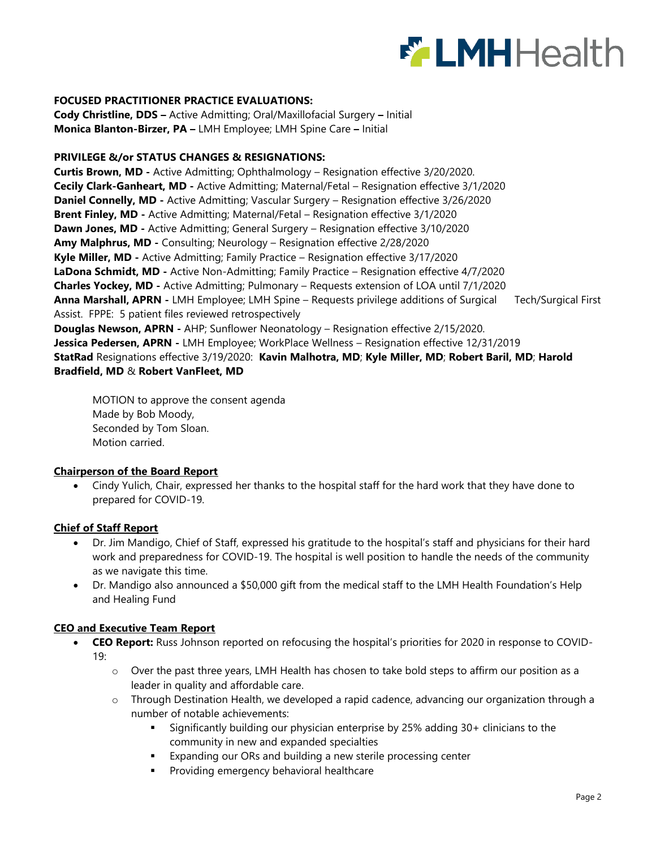

## **FOCUSED PRACTITIONER PRACTICE EVALUATIONS:**

**Cody Christline, DDS –** Active Admitting; Oral/Maxillofacial Surgery **–** Initial **Monica Blanton-Birzer, PA –** LMH Employee; LMH Spine Care **–** Initial

#### **PRIVILEGE &/or STATUS CHANGES & RESIGNATIONS:**

**Curtis Brown, MD -** Active Admitting; Ophthalmology – Resignation effective 3/20/2020. **Cecily Clark-Ganheart, MD -** Active Admitting; Maternal/Fetal – Resignation effective 3/1/2020 **Daniel Connelly, MD -** Active Admitting; Vascular Surgery – Resignation effective 3/26/2020 **Brent Finley, MD -** Active Admitting; Maternal/Fetal – Resignation effective 3/1/2020 **Dawn Jones, MD -** Active Admitting; General Surgery – Resignation effective 3/10/2020 **Amy Malphrus, MD -** Consulting; Neurology – Resignation effective 2/28/2020 **Kyle Miller, MD -** Active Admitting; Family Practice – Resignation effective 3/17/2020 **LaDona Schmidt, MD -** Active Non-Admitting; Family Practice – Resignation effective 4/7/2020 **Charles Yockey, MD -** Active Admitting; Pulmonary – Requests extension of LOA until 7/1/2020 **Anna Marshall, APRN -** LMH Employee; LMH Spine – Requests privilege additions of Surgical Tech/Surgical First Assist. FPPE: 5 patient files reviewed retrospectively **Douglas Newson, APRN -** AHP; Sunflower Neonatology – Resignation effective 2/15/2020. **Jessica Pedersen, APRN -** LMH Employee; WorkPlace Wellness – Resignation effective 12/31/2019 **StatRad** Resignations effective 3/19/2020: **Kavin Malhotra, MD**; **Kyle Miller, MD**; **Robert Baril, MD**; **Harold Bradfield, MD** & **Robert VanFleet, MD**

MOTION to approve the consent agenda Made by Bob Moody, Seconded by Tom Sloan. Motion carried.

#### **Chairperson of the Board Report**

 Cindy Yulich, Chair, expressed her thanks to the hospital staff for the hard work that they have done to prepared for COVID-19.

#### **Chief of Staff Report**

- Dr. Jim Mandigo, Chief of Staff, expressed his gratitude to the hospital's staff and physicians for their hard work and preparedness for COVID-19. The hospital is well position to handle the needs of the community as we navigate this time.
- Dr. Mandigo also announced a \$50,000 gift from the medical staff to the LMH Health Foundation's Help and Healing Fund

#### **CEO and Executive Team Report**

- **CEO Report:** Russ Johnson reported on refocusing the hospital's priorities for 2020 in response to COVID-19:
	- o Over the past three years, LMH Health has chosen to take bold steps to affirm our position as a leader in quality and affordable care.
	- o Through Destination Health, we developed a rapid cadence, advancing our organization through a number of notable achievements:
		- Significantly building our physician enterprise by 25% adding 30+ clinicians to the community in new and expanded specialties
		- **Expanding our ORs and building a new sterile processing center**
		- **Providing emergency behavioral healthcare**